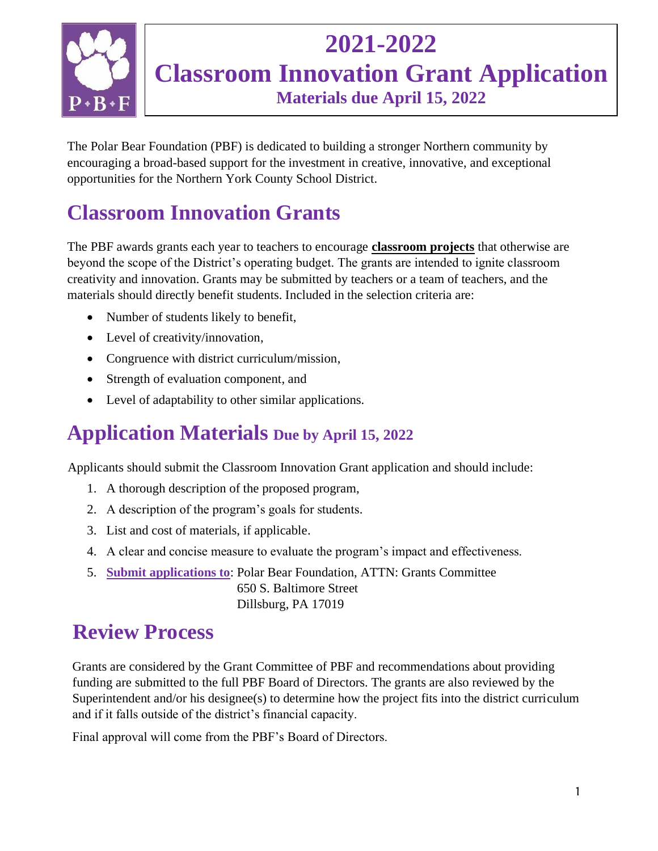

## **2021-2022 Classroom Innovation Grant Application Materials due April 15, 2022**

The Polar Bear Foundation (PBF) is dedicated to building a stronger Northern community by encouraging a broad-based support for the investment in creative, innovative, and exceptional opportunities for the Northern York County School District.

## **Classroom Innovation Grants**

The PBF awards grants each year to teachers to encourage **classroom projects** that otherwise are beyond the scope of the District's operating budget. The grants are intended to ignite classroom creativity and innovation. Grants may be submitted by teachers or a team of teachers, and the materials should directly benefit students. Included in the selection criteria are:

- Number of students likely to benefit,
- Level of creativity/innovation,
- Congruence with district curriculum/mission,
- Strength of evaluation component, and
- Level of adaptability to other similar applications.

#### **Application Materials Due by April 15, 2022**

Applicants should submit the Classroom Innovation Grant application and should include:

- 1. A thorough description of the proposed program,
- 2. A description of the program's goals for students.
- 3. List and cost of materials, if applicable.
- 4. A clear and concise measure to evaluate the program's impact and effectiveness.
- 5. **Submit applications to**: Polar Bear Foundation, ATTN: Grants Committee 650 S. Baltimore Street Dillsburg, PA 17019

#### **Review Process**

Grants are considered by the Grant Committee of PBF and recommendations about providing funding are submitted to the full PBF Board of Directors. The grants are also reviewed by the Superintendent and/or his designee(s) to determine how the project fits into the district curriculum and if it falls outside of the district's financial capacity.

Final approval will come from the PBF's Board of Directors.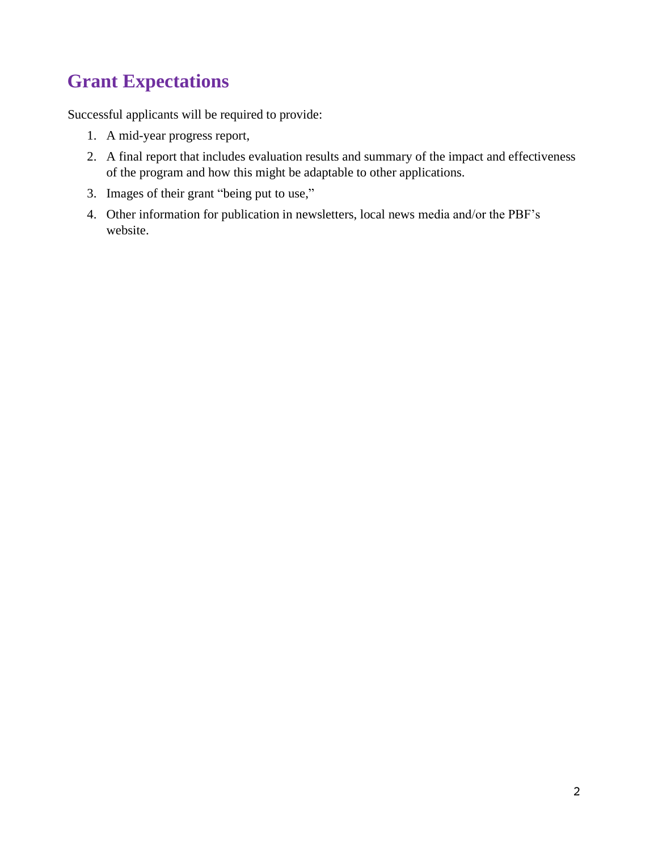#### **Grant Expectations**

Successful applicants will be required to provide:

- 1. A mid-year progress report,
- 2. A final report that includes evaluation results and summary of the impact and effectiveness of the program and how this might be adaptable to other applications.
- 3. Images of their grant "being put to use,"
- 4. Other information for publication in newsletters, local news media and/or the PBF's website.